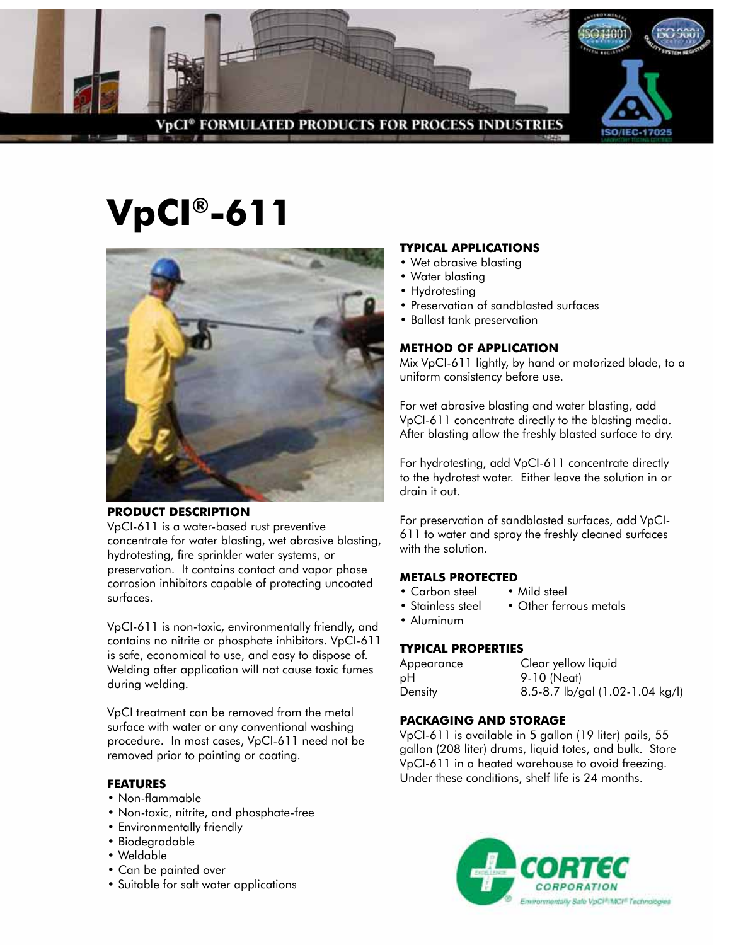

# **VpCI®-611**



# **PRODUCT DESCRIPTION**

VpCI-611 is a water-based rust preventive concentrate for water blasting, wet abrasive blasting, hydrotesting, fire sprinkler water systems, or preservation. It contains contact and vapor phase corrosion inhibitors capable of protecting uncoated surfaces.

VpCI-611 is non-toxic, environmentally friendly, and contains no nitrite or phosphate inhibitors. VpCI-611 is safe, economical to use, and easy to dispose of. Welding after application will not cause toxic fumes during welding.

VpCI treatment can be removed from the metal surface with water or any conventional washing procedure. In most cases, VpCI-611 need not be removed prior to painting or coating.

# **FEATURES**

- Non-flammable
- Non-toxic, nitrite, and phosphate-free
- Environmentally friendly
- Biodegradable
- Weldable
- Can be painted over
- Suitable for salt water applications

#### **TYPICAL APPLICATIONS**

- Wet abrasive blasting
- Water blasting
- Hydrotesting
- Preservation of sandblasted surfaces
- Ballast tank preservation

# **METHOD OF APPLICATION**

Mix VpCI-611 lightly, by hand or motorized blade, to a uniform consistency before use.

For wet abrasive blasting and water blasting, add VpCI-611 concentrate directly to the blasting media. After blasting allow the freshly blasted surface to dry.

For hydrotesting, add VpCI-611 concentrate directly to the hydrotest water. Either leave the solution in or drain it out.

For preservation of sandblasted surfaces, add VpCI-611 to water and spray the freshly cleaned surfaces with the solution.

# **Metals Protected**

- Carbon steel Mild steel
- Stainless steel Other ferrous metals
- Aluminum

# **TYPICAL PROPERTIES**

| Appearance | Clear yellow liquid             |
|------------|---------------------------------|
| рH         | 9-10 (Neat)                     |
| Density    | 8.5-8.7 lb/gal (1.02-1.04 kg/l) |

# **Packaging AND STORAGE**

VpCI-611 is available in 5 gallon (19 liter) pails, 55 gallon (208 liter) drums, liquid totes, and bulk. Store VpCI-611 in a heated warehouse to avoid freezing. Under these conditions, shelf life is 24 months.